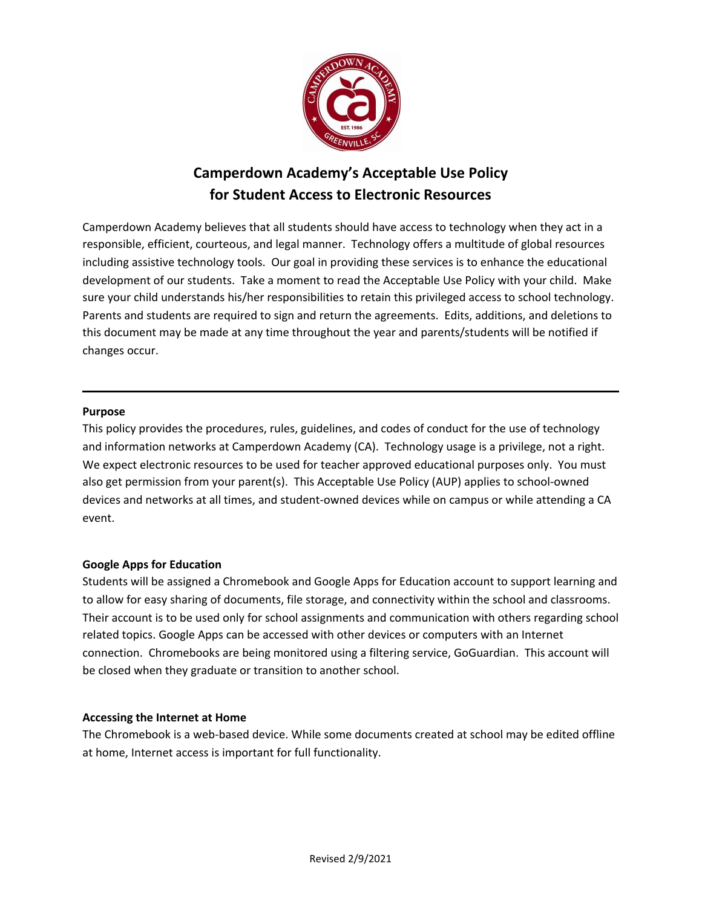

# **Camperdown Academy's Acceptable Use Policy for Student Access to Electronic Resources**

Camperdown Academy believes that all students should have access to technology when they act in a responsible, efficient, courteous, and legal manner. Technology offers a multitude of global resources including assistive technology tools. Our goal in providing these services is to enhance the educational development of our students. Take a moment to read the Acceptable Use Policy with your child. Make sure your child understands his/her responsibilities to retain this privileged access to school technology. Parents and students are required to sign and return the agreements. Edits, additions, and deletions to this document may be made at any time throughout the year and parents/students will be notified if changes occur.

#### **Purpose**

This policy provides the procedures, rules, guidelines, and codes of conduct for the use of technology and information networks at Camperdown Academy (CA). Technology usage is a privilege, not a right. We expect electronic resources to be used for teacher approved educational purposes only. You must also get permission from your parent(s). This Acceptable Use Policy (AUP) applies to school-owned devices and networks at all times, and student-owned devices while on campus or while attending a CA event.

#### **Google Apps for Education**

Students will be assigned a Chromebook and Google Apps for Education account to support learning and to allow for easy sharing of documents, file storage, and connectivity within the school and classrooms. Their account is to be used only for school assignments and communication with others regarding school related topics. Google Apps can be accessed with other devices or computers with an Internet connection. Chromebooks are being monitored using a filtering service, GoGuardian. This account will be closed when they graduate or transition to another school.

#### **Accessing the Internet at Home**

The Chromebook is a web-based device. While some documents created at school may be edited offline at home, Internet access is important for full functionality.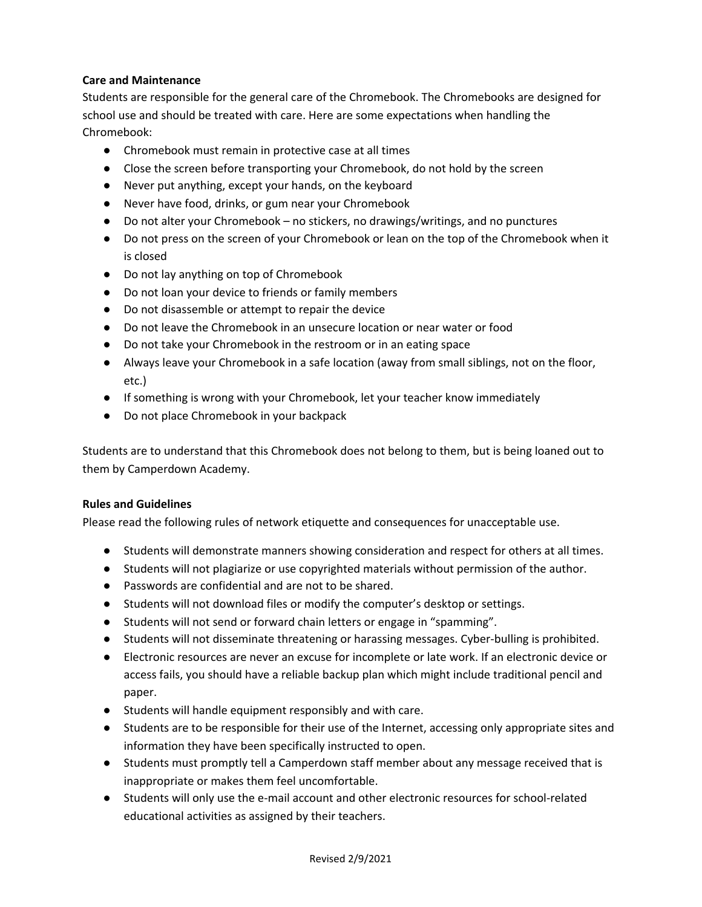### **Care and Maintenance**

Students are responsible for the general care of the Chromebook. The Chromebooks are designed for school use and should be treated with care. Here are some expectations when handling the Chromebook:

- Chromebook must remain in protective case at all times
- Close the screen before transporting your Chromebook, do not hold by the screen
- Never put anything, except your hands, on the keyboard
- Never have food, drinks, or gum near your Chromebook
- Do not alter your Chromebook no stickers, no drawings/writings, and no punctures
- Do not press on the screen of your Chromebook or lean on the top of the Chromebook when it is closed
- Do not lay anything on top of Chromebook
- Do not loan your device to friends or family members
- Do not disassemble or attempt to repair the device
- Do not leave the Chromebook in an unsecure location or near water or food
- Do not take your Chromebook in the restroom or in an eating space
- Always leave your Chromebook in a safe location (away from small siblings, not on the floor, etc.)
- If something is wrong with your Chromebook, let your teacher know immediately
- Do not place Chromebook in your backpack

Students are to understand that this Chromebook does not belong to them, but is being loaned out to them by Camperdown Academy.

#### **Rules and Guidelines**

Please read the following rules of network etiquette and consequences for unacceptable use.

- Students will demonstrate manners showing consideration and respect for others at all times.
- Students will not plagiarize or use copyrighted materials without permission of the author.
- Passwords are confidential and are not to be shared.
- Students will not download files or modify the computer's desktop or settings.
- Students will not send or forward chain letters or engage in "spamming".
- Students will not disseminate threatening or harassing messages. Cyber-bulling is prohibited.
- Electronic resources are never an excuse for incomplete or late work. If an electronic device or access fails, you should have a reliable backup plan which might include traditional pencil and paper.
- Students will handle equipment responsibly and with care.
- Students are to be responsible for their use of the Internet, accessing only appropriate sites and information they have been specifically instructed to open.
- Students must promptly tell a Camperdown staff member about any message received that is inappropriate or makes them feel uncomfortable.
- Students will only use the e-mail account and other electronic resources for school-related educational activities as assigned by their teachers.